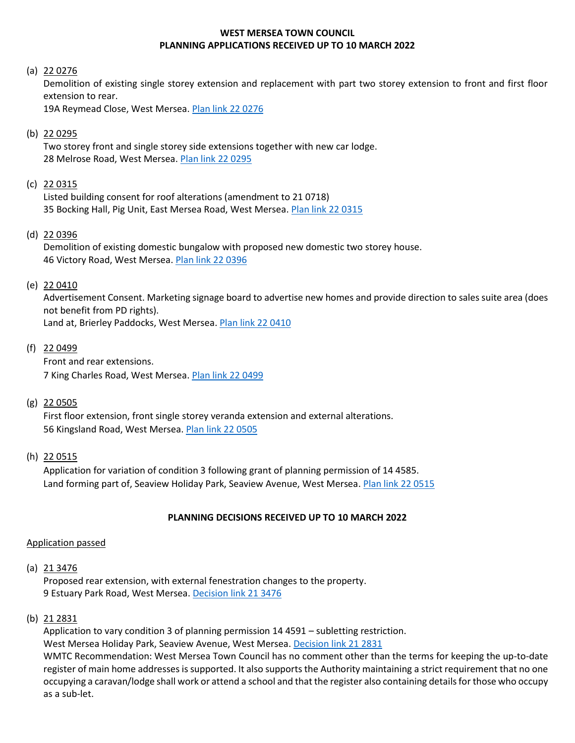## **WEST MERSEA TOWN COUNCIL PLANNING APPLICATIONS RECEIVED UP TO 10 MARCH 2022**

### (a) 22 0276

Demolition of existing single storey extension and replacement with part two storey extension to front and first floor extension to rear.

19A Reymead Close, West Mersea[. Plan link 22](https://www.colchester.gov.uk/wampd/?id=220276) 0276

### (b) 22 0295

Two storey front and single storey side extensions together with new car lodge. 28 Melrose Road, West Mersea. [Plan link 22 0295](https://www.colchester.gov.uk/wampd/?id=220295)

### (c) 22 0315

Listed building consent for roof alterations (amendment to 21 0718) 35 Bocking Hall, Pig Unit, East Mersea Road, West Mersea. [Plan link 22 0315](https://www.colchester.gov.uk/wampd/?id=220315)

#### (d) 22 0396

Demolition of existing domestic bungalow with proposed new domestic two storey house. 46 Victory Road, West Mersea. [Plan link 22 0396](https://www.colchester.gov.uk/wampd/?id=220396)

#### (e) 22 0410

Advertisement Consent. Marketing signage board to advertise new homes and provide direction to sales suite area (does not benefit from PD rights). Land at, Brierley Paddocks, West Mersea. [Plan link 22](https://www.colchester.gov.uk/wampd/?id=220410) 0410

### (f) 22 0499

Front and rear extensions. 7 King Charles Road, West Mersea[. Plan link 22 0499](https://www.colchester.gov.uk/wampd/?id=220499)

### (g) 22 0505

First floor extension, front single storey veranda extension and external alterations. 56 Kingsland Road, West Mersea. [Plan link 22](https://www.colchester.gov.uk/wampd/?id=220505) 0505

### (h) 22 0515

Application for variation of condition 3 following grant of planning permission of 14 4585. Land forming part of, Seaview Holiday Park, Seaview Avenue, West Mersea. [Plan link 22 0515](https://www.colchester.gov.uk/wampd/?id=220515)

### **PLANNING DECISIONS RECEIVED UP TO 10 MARCH 2022**

### Application passed

#### (a)  $21\,3476$

Proposed rear extension, with external fenestration changes to the property. 9 Estuary Park Road, West Mersea. [Decision link 21 3476](https://d0cs.colchester.gov.uk/Publisher/mvc/listDocuments?identifier=DC&ref=213476)

## (b) 21 2831

Application to vary condition 3 of planning permission 14 4591 – subletting restriction. West Mersea Holiday Park, Seaview Avenue, West Mersea[. Decision link 21 2831](https://d0cs.colchester.gov.uk/Publisher/mvc/listDocuments?identifier=DC&ref=212831) WMTC Recommendation: West Mersea Town Council has no comment other than the terms for keeping the up-to-date register of main home addresses is supported. It also supports the Authority maintaining a strict requirement that no one occupying a caravan/lodge shall work or attend a school and that the register also containing details for those who occupy as a sub-let.